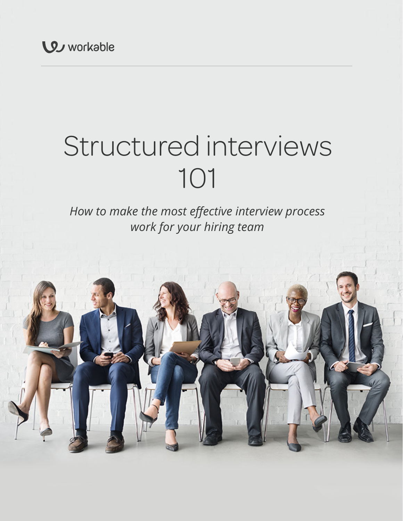# Structured interviews 101

## *How to make the most effective interview process work for your hiring team*

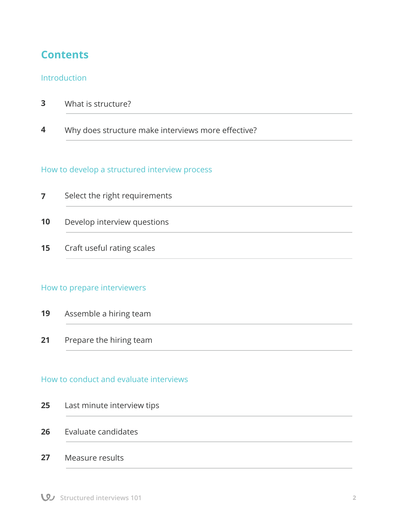## **Contents**

#### Introduction

| 3 |  | What is structure? |
|---|--|--------------------|
|---|--|--------------------|

 Why does structure make interviews more effective? **4**

#### How to develop a structured interview process

|                 | Select the right requirements |
|-----------------|-------------------------------|
| 10              | Develop interview questions   |
| 15 <sub>1</sub> | Craft useful rating scales    |

#### How to prepare interviewers

| 19 | Assemble a hiring team |  |  |
|----|------------------------|--|--|
|----|------------------------|--|--|

Prepare the hiring team **21**

#### How to conduct and evaluate interviews

#### Evaluate candidates **26**

Measure results **27**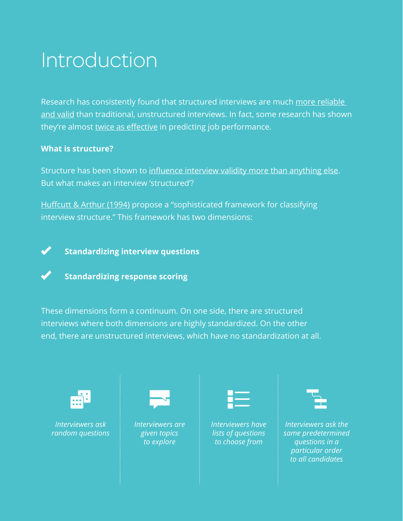## Introduction

Research has consistently found that structured interviews are much more reliable and valid than traditional, unstructured interviews. In fact, some research has shown they're almost twice as effective in predicting job performance.

#### **What is structure?**

Structure has been shown to influence interview validity more than anything else. But what makes an interview 'structured'?

Huffcutt & Arthur (1994) propose a "sophisticated framework for classifying interview structure." This framework has two dimensions:



**Standardizing interview questions**



#### **Standardizing response scoring**

These dimensions form a continuum. On one side, there are structured interviews where both dimensions are highly standardized. On the other end, there are unstructured interviews, which have no standardization at all.



*Interviewers ask random questions*



*Interviewers are given topics to explore*

*Interviewers have lists of questions to choose from*

*Interviewers ask the same predetermined questions in a particular order to all candidates*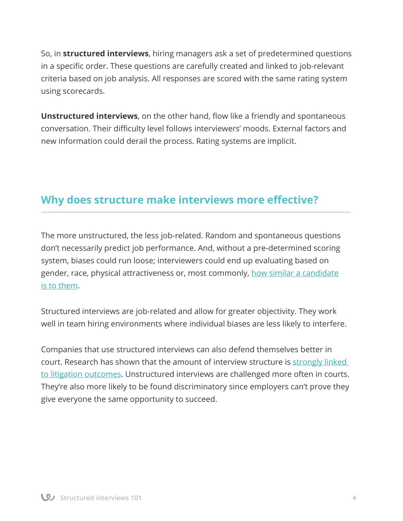So, in **structured interviews**, hiring managers ask a set of predetermined questions in a specific order. These questions are carefully created and linked to job-relevant criteria based on job analysis. All responses are scored with the same rating system using scorecards.

**Unstructured interviews**, on the other hand, flow like a friendly and spontaneous conversation. Their difficulty level follows interviewers' moods. External factors and new information could derail the process. Rating systems are implicit.

### **Why does structure make interviews more effective?**

The more unstructured, the less job-related. Random and spontaneous questions don't necessarily predict job performance. And, without a pre-determined scoring system, biases could run loose; interviewers could end up evaluating based on gender, race, physical attractiveness or, most commonly, how similar a candidate is to them.

Structured interviews are job-related and allow for greater objectivity. They work well in team hiring environments where individual biases are less likely to interfere.

Companies that use structured interviews can also defend themselves better in court. Research has shown that the amount of interview structure is strongly linked to litigation outcomes. Unstructured interviews are challenged more often in courts. They're also more likely to be found discriminatory since employers can't prove they give everyone the same opportunity to succeed.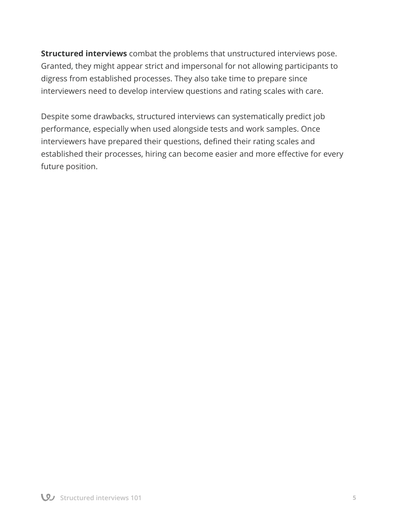**Structured interviews** combat the problems that unstructured interviews pose. Granted, they might appear strict and impersonal for not allowing participants to digress from established processes. They also take time to prepare since interviewers need to develop interview questions and rating scales with care.

Despite some drawbacks, structured interviews can systematically predict job performance, especially when used alongside tests and work samples. Once interviewers have prepared their questions, defined their rating scales and established their processes, hiring can become easier and more effective for every future position.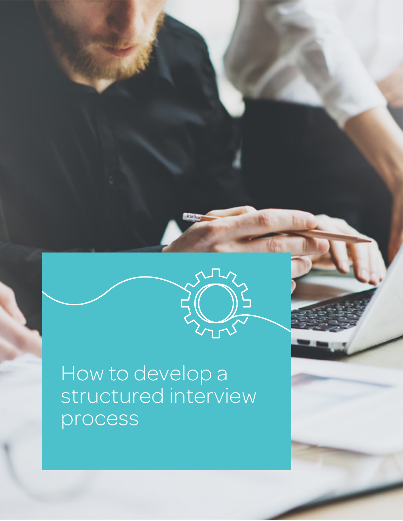

**Structured interviews 101 6**

How to develop a structured interview process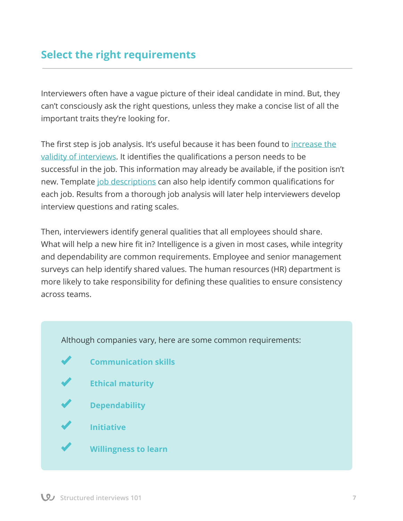## **Select the right requirements**

Interviewers often have a vague picture of their ideal candidate in mind. But, they can't consciously ask the right questions, unless they make a concise list of all the important traits they're looking for.

The first step is job analysis. It's useful because it has been found to increase the validity of interviews. It identifies the qualifications a person needs to be successful in the job. This information may already be available, if the position isn't new. Template job descriptions can also help identify common qualifications for each job. Results from a thorough job analysis will later help interviewers develop interview questions and rating scales.

Then, interviewers identify general qualities that all employees should share. What will help a new hire fit in? Intelligence is a given in most cases, while integrity and dependability are common requirements. Employee and senior management surveys can help identify shared values. The human resources (HR) department is more likely to take responsibility for defining these qualities to ensure consistency across teams.

Although companies vary, here are some common requirements:

 **Communication skills Ethical maturity Dependability Initiative Willingness to learn**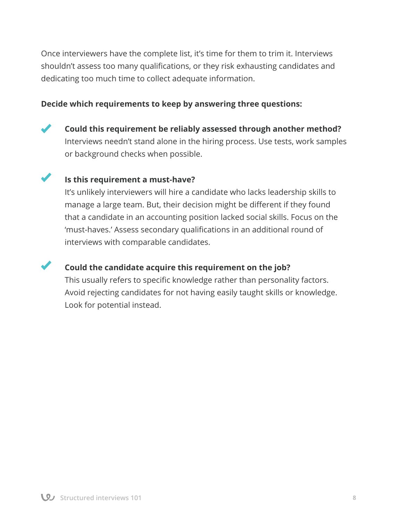Once interviewers have the complete list, it's time for them to trim it. Interviews shouldn't assess too many qualifications, or they risk exhausting candidates and dedicating too much time to collect adequate information.

#### **Decide which requirements to keep by answering three questions:**

**Could this requirement be reliably assessed through another method?**  Interviews needn't stand alone in the hiring process. Use tests, work samples or background checks when possible.

#### **Is this requirement a must-have?**

It's unlikely interviewers will hire a candidate who lacks leadership skills to manage a large team. But, their decision might be different if they found that a candidate in an accounting position lacked social skills. Focus on the 'must-haves.' Assess secondary qualifications in an additional round of interviews with comparable candidates.

#### **Could the candidate acquire this requirement on the job?**

 This usually refers to specific knowledge rather than personality factors. Avoid rejecting candidates for not having easily taught skills or knowledge. Look for potential instead.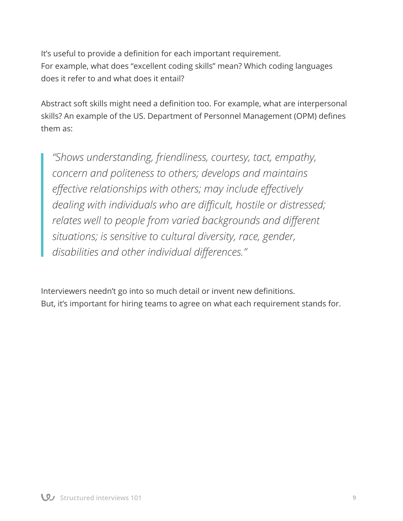It's useful to provide a definition for each important requirement. For example, what does "excellent coding skills" mean? Which coding languages does it refer to and what does it entail?

Abstract soft skills might need a definition too. For example, what are interpersonal skills? An example of the US. Department of Personnel Management (OPM) defines them as:

*"Shows understanding, friendliness, courtesy, tact, empathy, concern and politeness to others; develops and maintains effective relationships with others; may include effectively dealing with individuals who are difficult, hostile or distressed; relates well to people from varied backgrounds and different situations; is sensitive to cultural diversity, race, gender, disabilities and other individual differences."*

Interviewers needn't go into so much detail or invent new definitions. But, it's important for hiring teams to agree on what each requirement stands for.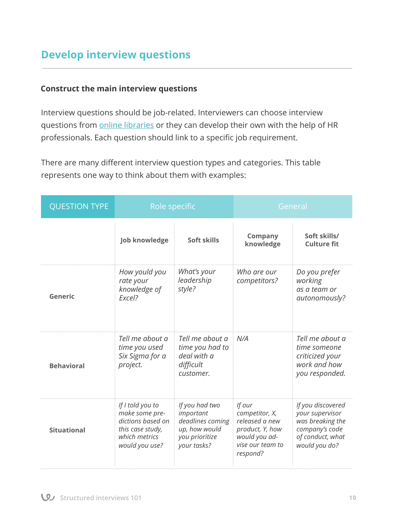## **Develop interview questions**

#### **Construct the main interview questions**

Interview questions should be job-related. Interviewers can choose interview questions from **online libraries** or they can develop their own with the help of HR professionals. Each question should link to a specific job requirement.

There are many different interview question types and categories. This table represents one way to think about them with examples:

| <b>QUESTION TYPE</b> | Role specific                                                                                                  |                                                                                                   | General                                                                                                        |                                                                                                                 |
|----------------------|----------------------------------------------------------------------------------------------------------------|---------------------------------------------------------------------------------------------------|----------------------------------------------------------------------------------------------------------------|-----------------------------------------------------------------------------------------------------------------|
|                      | <b>Job knowledge</b>                                                                                           | Soft skills                                                                                       | <b>Company</b><br>knowledge                                                                                    | Soft skills/<br><b>Culture fit</b>                                                                              |
| Generic              | How yould you<br>rate your<br>knowledge of<br>Excel?                                                           | What's your<br>leadership<br>style?                                                               | Who are our<br>competitors?                                                                                    | Do you prefer<br>working<br>as a team or<br>autonomously?                                                       |
| <b>Behavioral</b>    | Tell me about a<br>time you used<br>Six Sigma for a<br>project.                                                | Tell me about a<br>time you had to<br>deal with a<br>difficult<br>customer.                       | N/A                                                                                                            | Tell me about a<br>time someone<br>criticized your<br>work and how<br>you responded.                            |
| <b>Situational</b>   | If I told you to<br>make some pre-<br>dictions based on<br>this case study,<br>which metrics<br>would you use? | If you had two<br>important<br>deadlines coming<br>up, how would<br>you prioritize<br>your tasks? | If our<br>competitor, X,<br>released a new<br>product, Y, how<br>would you ad-<br>vise our team to<br>respond? | If you discovered<br>your supervisor<br>was breaking the<br>company's code<br>of conduct, what<br>would you do? |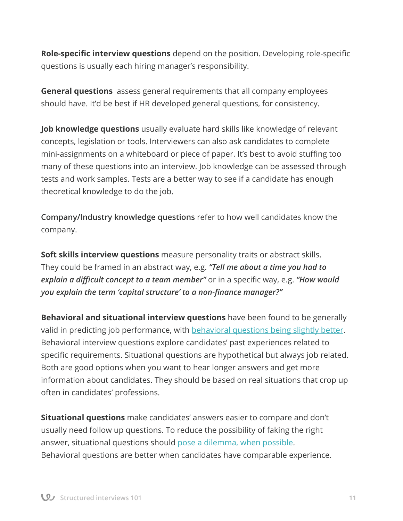**Role-specific interview questions** depend on the position. Developing role-specific questions is usually each hiring manager's responsibility.

**General questions** assess general requirements that all company employees should have. It'd be best if HR developed general questions, for consistency.

**Job knowledge questions** usually evaluate hard skills like knowledge of relevant concepts, legislation or tools. Interviewers can also ask candidates to complete mini-assignments on a whiteboard or piece of paper. It's best to avoid stuffing too many of these questions into an interview. Job knowledge can be assessed through tests and work samples. Tests are a better way to see if a candidate has enough theoretical knowledge to do the job.

**Company/Industry knowledge questions** refer to how well candidates know the company.

**Soft skills interview questions** measure personality traits or abstract skills. They could be framed in an abstract way, e.g. *"Tell me about a time you had to explain a difficult concept to a team member"* or in a specific way, e.g. *"How would you explain the term 'capital structure' to a non-finance manager?"*

**Behavioral and situational interview questions** have been found to be generally valid in predicting job performance, with behavioral questions being slightly better. Behavioral interview questions explore candidates' past experiences related to specific requirements. Situational questions are hypothetical but always job related. Both are good options when you want to hear longer answers and get more information about candidates. They should be based on real situations that crop up often in candidates' professions.

**Situational questions** make candidates' answers easier to compare and don't usually need follow up questions. To reduce the possibility of faking the right answer, situational questions should pose a dilemma, when possible. Behavioral questions are better when candidates have comparable experience.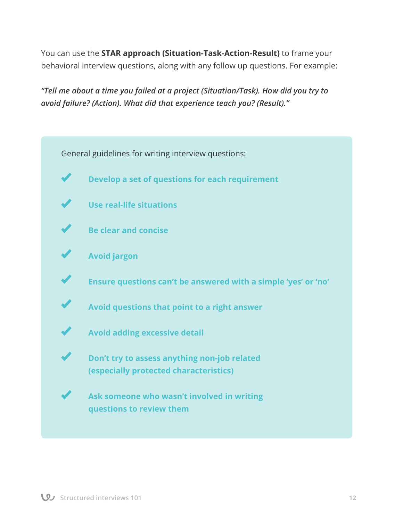You can use the **STAR approach (Situation-Task-Action-Result)** to frame your behavioral interview questions, along with any follow up questions. For example:

*"Tell me about a time you failed at a project (Situation/Task). How did you try to avoid failure? (Action). What did that experience teach you? (Result)."*

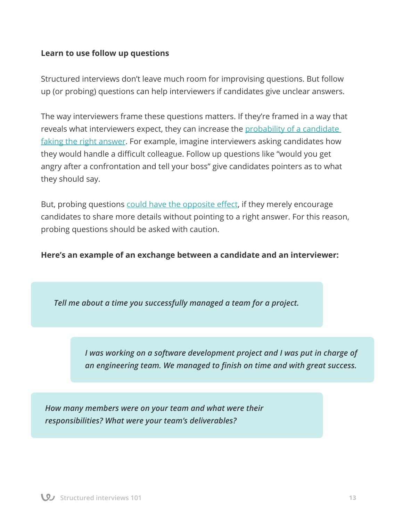#### **Learn to use follow up questions**

Structured interviews don't leave much room for improvising questions. But follow up (or probing) questions can help interviewers if candidates give unclear answers.

The way interviewers frame these questions matters. If they're framed in a way that reveals what interviewers expect, they can increase the probability of a candidate faking the right answer. For example, imagine interviewers asking candidates how they would handle a difficult colleague. Follow up questions like "would you get angry after a confrontation and tell your boss" give candidates pointers as to what they should say.

But, probing questions could have the opposite effect, if they merely encourage candidates to share more details without pointing to a right answer. For this reason, probing questions should be asked with caution.

**Here's an example of an exchange between a candidate and an interviewer:**

*Tell me about a time you successfully managed a team for a project.*

*I was working on a software development project and I was put in charge of an engineering team. We managed to finish on time and with great success.*

*How many members were on your team and what were their responsibilities? What were your team's deliverables?*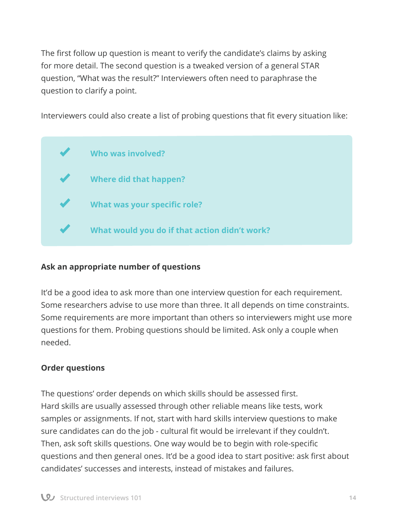The first follow up question is meant to verify the candidate's claims by asking for more detail. The second question is a tweaked version of a general STAR question, "What was the result?" Interviewers often need to paraphrase the question to clarify a point.

Interviewers could also create a list of probing questions that fit every situation like:



#### **Ask an appropriate number of questions**

It'd be a good idea to ask more than one interview question for each requirement. Some researchers advise to use more than three. It all depends on time constraints. Some requirements are more important than others so interviewers might use more questions for them. Probing questions should be limited. Ask only a couple when needed.

#### **Order questions**

The questions' order depends on which skills should be assessed first. Hard skills are usually assessed through other reliable means like tests, work samples or assignments. If not, start with hard skills interview questions to make sure candidates can do the job - cultural fit would be irrelevant if they couldn't. Then, ask soft skills questions. One way would be to begin with role-specific questions and then general ones. It'd be a good idea to start positive: ask first about candidates' successes and interests, instead of mistakes and failures.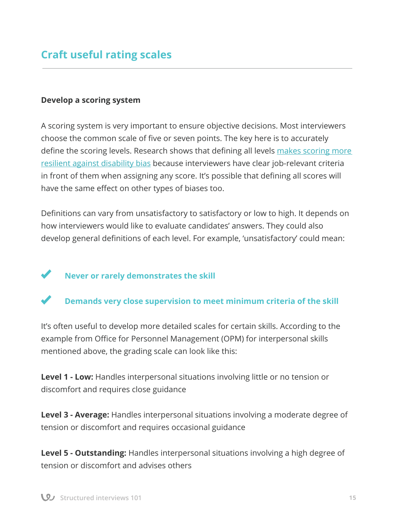#### **Develop a scoring system**

A scoring system is very important to ensure objective decisions. Most interviewers choose the common scale of five or seven points. The key here is to accurately define the scoring levels. Research shows that defining all levels makes scoring more resilient against disability bias because interviewers have clear job-relevant criteria in front of them when assigning any score. It's possible that defining all scores will have the same effect on other types of biases too.

Definitions can vary from unsatisfactory to satisfactory or low to high. It depends on how interviewers would like to evaluate candidates' answers. They could also develop general definitions of each level. For example, 'unsatisfactory' could mean:

### **Never or rarely demonstrates the skill**

#### **Demands very close supervision to meet minimum criteria of the skill**

It's often useful to develop more detailed scales for certain skills. According to the example from Office for Personnel Management (OPM) for interpersonal skills mentioned above, the grading scale can look like this:

**Level 1 - Low:** Handles interpersonal situations involving little or no tension or discomfort and requires close guidance

**Level 3 - Average:** Handles interpersonal situations involving a moderate degree of tension or discomfort and requires occasional guidance

**Level 5 - Outstanding:** Handles interpersonal situations involving a high degree of tension or discomfort and advises others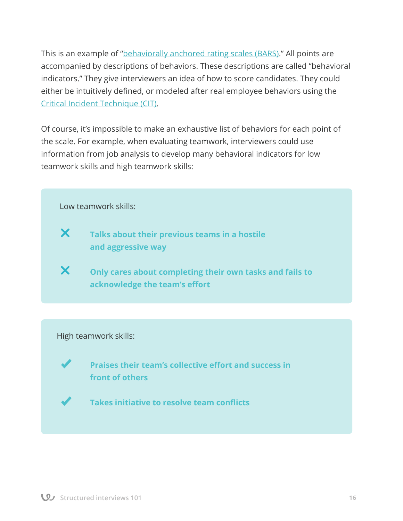This is an example of "behaviorally anchored rating scales (BARS)." All points are accompanied by descriptions of behaviors. These descriptions are called "behavioral indicators." They give interviewers an idea of how to score candidates. They could either be intuitively defined, or modeled after real employee behaviors using the Critical Incident Technique (CIT).

Of course, it's impossible to make an exhaustive list of behaviors for each point of the scale. For example, when evaluating teamwork, interviewers could use information from job analysis to develop many behavioral indicators for low teamwork skills and high teamwork skills:



#### High teamwork skills:

**Praises their team's collective effort and success in front of others**

**Takes initiative to resolve team conflicts**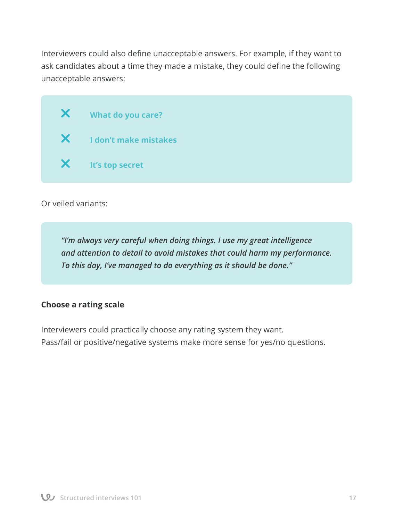Interviewers could also define unacceptable answers. For example, if they want to ask candidates about a time they made a mistake, they could define the following unacceptable answers:

 **What do you care? I don't make mistakes It's top secret**

Or veiled variants:

*"I'm always very careful when doing things. I use my great intelligence and attention to detail to avoid mistakes that could harm my performance. To this day, I've managed to do everything as it should be done."*

#### **Choose a rating scale**

Interviewers could practically choose any rating system they want. Pass/fail or positive/negative systems make more sense for yes/no questions.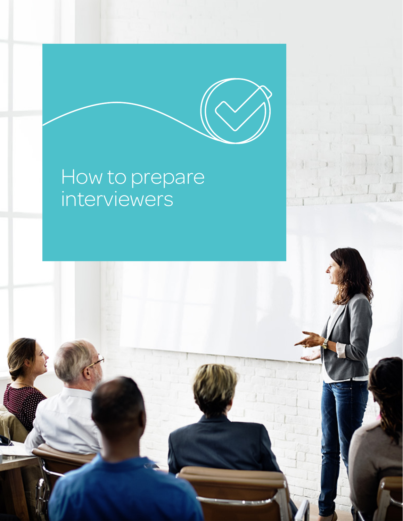## How to prepare interviewers

**Structured interviews 101 18**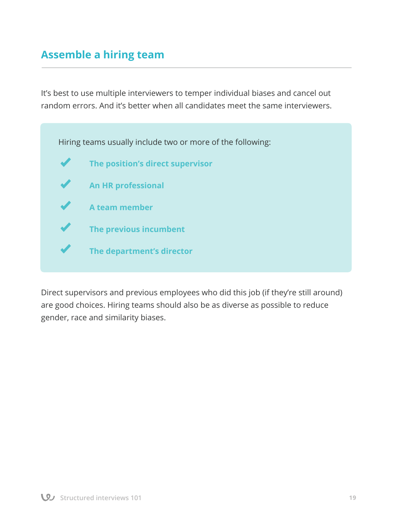## **Assemble a hiring team**

It's best to use multiple interviewers to temper individual biases and cancel out random errors. And it's better when all candidates meet the same interviewers.



Direct supervisors and previous employees who did this job (if they're still around) are good choices. Hiring teams should also be as diverse as possible to reduce gender, race and similarity biases.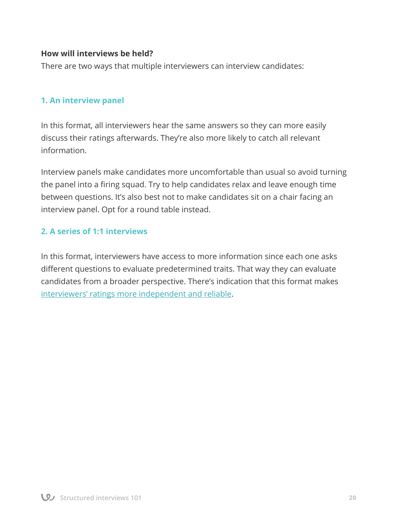#### **How will interviews be held?**

There are two ways that multiple interviewers can interview candidates:

#### **1. An interview panel**

In this format, all interviewers hear the same answers so they can more easily discuss their ratings afterwards. They're also more likely to catch all relevant information.

Interview panels make candidates more uncomfortable than usual so avoid turning the panel into a firing squad. Try to help candidates relax and leave enough time between questions. It's also best not to make candidates sit on a chair facing an interview panel. Opt for a round table instead.

#### **2. A series of 1:1 interviews**

In this format, interviewers have access to more information since each one asks different questions to evaluate predetermined traits. That way they can evaluate candidates from a broader perspective. There's indication that this format makes interviewers' ratings more independent and reliable.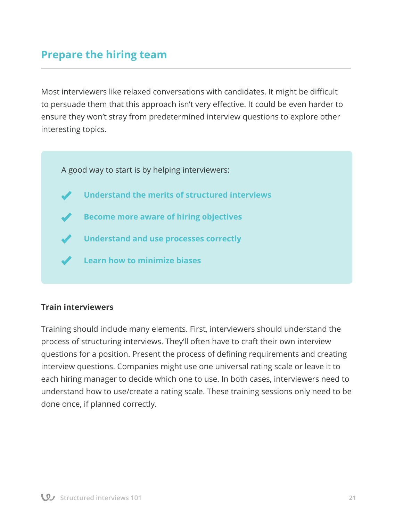## **Prepare the hiring team**

Most interviewers like relaxed conversations with candidates. It might be difficult to persuade them that this approach isn't very effective. It could be even harder to ensure they won't stray from predetermined interview questions to explore other interesting topics.

A good way to start is by helping interviewers:

- **Understand the merits of structured interviews**
- **Become more aware of hiring objectives**
- **Understand and use processes correctly**
- **Learn how to minimize biases**

#### **Train interviewers**

Training should include many elements. First, interviewers should understand the process of structuring interviews. They'll often have to craft their own interview questions for a position. Present the process of defining requirements and creating interview questions. Companies might use one universal rating scale or leave it to each hiring manager to decide which one to use. In both cases, interviewers need to understand how to use/create a rating scale. These training sessions only need to be done once, if planned correctly.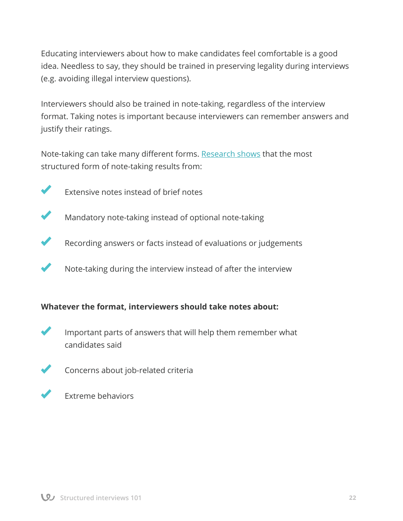Educating interviewers about how to make candidates feel comfortable is a good idea. Needless to say, they should be trained in preserving legality during interviews (e.g. avoiding illegal interview questions).

Interviewers should also be trained in note-taking, regardless of the interview format. Taking notes is important because interviewers can remember answers and justify their ratings.

Note-taking can take many different forms. Research shows that the most structured form of note-taking results from:



 Extensive notes instead of brief notes

 Mandatory note-taking instead of optional note-taking



Recording answers or facts instead of evaluations or judgements

 Note-taking during the interview instead of after the interview

#### **Whatever the format, interviewers should take notes about:**



Important parts of answers that will help them remember what candidates said



 Concerns about job-related criteria



 Extreme behaviors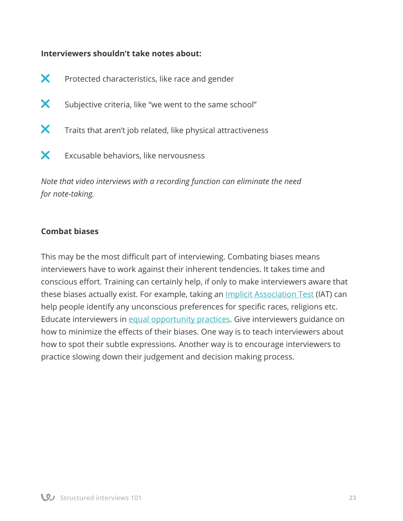#### **Interviewers shouldn't take notes about:**

- X Protected characteristics, like race and gender
- X Subjective criteria, like "we went to the same school"
- X Traits that aren't job related, like physical attractiveness
- $\mathsf{\times}$  Excusable behaviors, like nervousness

*Note that video interviews with a recording function can eliminate the need for note-taking.*

#### **Combat biases**

This may be the most difficult part of interviewing. Combating biases means interviewers have to work against their inherent tendencies. It takes time and conscious effort. Training can certainly help, if only to make interviewers aware that these biases actually exist. For example, taking an Implicit Association Test (IAT) can help people identify any unconscious preferences for specific races, religions etc. Educate interviewers in equal opportunity practices. Give interviewers guidance on how to minimize the effects of their biases. One way is to teach interviewers about how to spot their subtle expressions. Another way is to encourage interviewers to practice slowing down their judgement and decision making process.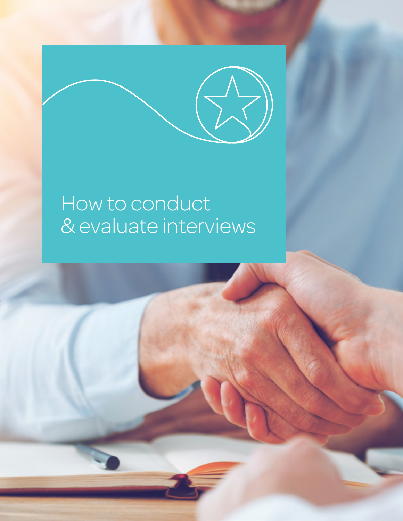## How to conduct & evaluate interviews

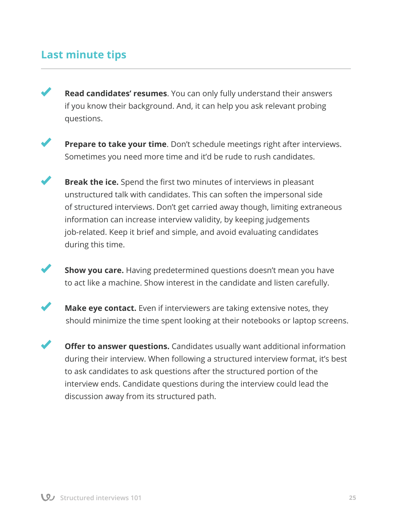## **Last minute tips**



**Read candidates' resumes**. You can only fully understand their answers if you know their background. And, it can help you ask relevant probing questions.



**Prepare to take your time**. Don't schedule meetings right after interviews. Sometimes you need more time and it'd be rude to rush candidates.

**Break the ice.** Spend the first two minutes of interviews in pleasant unstructured talk with candidates. This can soften the impersonal side of structured interviews. Don't get carried away though, limiting extraneous information can increase interview validity, by keeping judgements job-related. Keep it brief and simple, and avoid evaluating candidates during this time.

**Show you care.** Having predetermined questions doesn't mean you have to act like a machine. Show interest in the candidate and listen carefully.



**Make eye contact.** Even if interviewers are taking extensive notes, they should minimize the time spent looking at their notebooks or laptop screens.

**Offer to answer questions.** Candidates usually want additional information during their interview. When following a structured interview format, it's best to ask candidates to ask questions after the structured portion of the interview ends. Candidate questions during the interview could lead the discussion away from its structured path.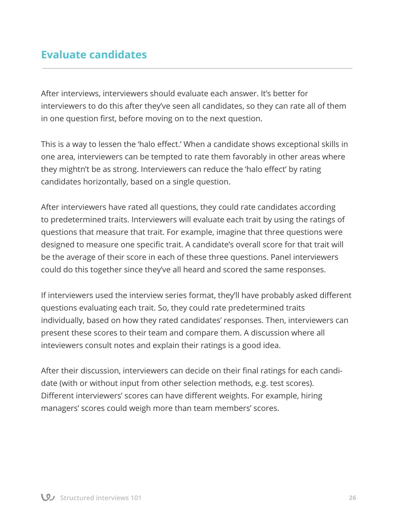## **Εvaluate candidates**

After interviews, interviewers should evaluate each answer. It's better for interviewers to do this after they've seen all candidates, so they can rate all of them in one question first, before moving on to the next question.

This is a way to lessen the 'halo effect.' When a candidate shows exceptional skills in one area, interviewers can be tempted to rate them favorably in other areas where they mightn't be as strong. Interviewers can reduce the 'halo effect' by rating candidates horizontally, based on a single question.

After interviewers have rated all questions, they could rate candidates according to predetermined traits. Interviewers will evaluate each trait by using the ratings of questions that measure that trait. For example, imagine that three questions were designed to measure one specific trait. A candidate's overall score for that trait will be the average of their score in each of these three questions. Panel interviewers could do this together since they've all heard and scored the same responses.

If interviewers used the interview series format, they'll have probably asked different questions evaluating each trait. So, they could rate predetermined traits individually, based on how they rated candidates' responses. Then, interviewers can present these scores to their team and compare them. A discussion where all inteviewers consult notes and explain their ratings is a good idea.

After their discussion, interviewers can decide on their final ratings for each candidate (with or without input from other selection methods, e.g. test scores). Different interviewers' scores can have different weights. For example, hiring managers' scores could weigh more than team members' scores.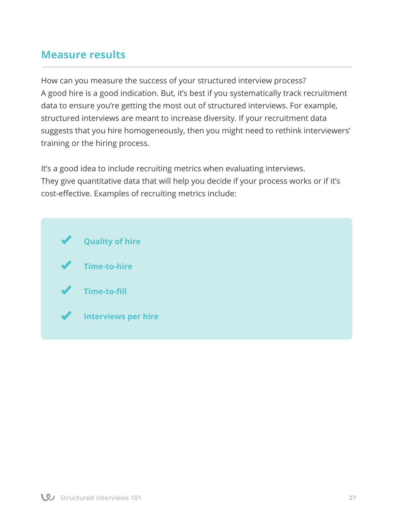### **Measure results**

How can you measure the success of your structured interview process? A good hire is a good indication. But, it's best if you systematically track recruitment data to ensure you're getting the most out of structured interviews. For example, structured interviews are meant to increase diversity. If your recruitment data suggests that you hire homogeneously, then you might need to rethink interviewers' training or the hiring process.

It's a good idea to include recruiting metrics when evaluating interviews. They give quantitative data that will help you decide if your process works or if it's cost-effective. Examples of recruiting metrics include: